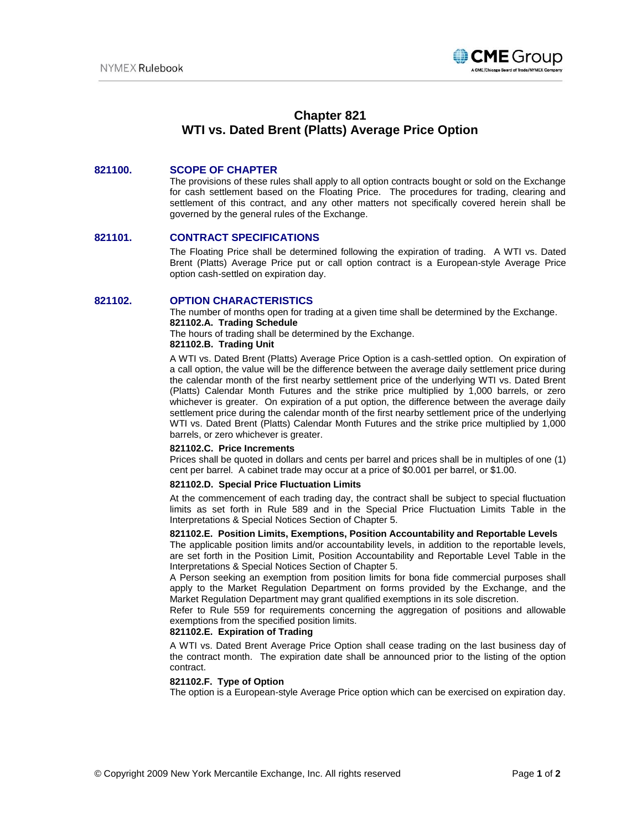

# **Chapter 821 WTI vs. Dated Brent (Platts) Average Price Option**

# **821100. SCOPE OF CHAPTER**

The provisions of these rules shall apply to all option contracts bought or sold on the Exchange for cash settlement based on the Floating Price. The procedures for trading, clearing and settlement of this contract, and any other matters not specifically covered herein shall be governed by the general rules of the Exchange.

## **821101. CONTRACT SPECIFICATIONS**

The Floating Price shall be determined following the expiration of trading. A WTI vs. Dated Brent (Platts) Average Price put or call option contract is a European-style Average Price option cash-settled on expiration day.

#### **821102. OPTION CHARACTERISTICS**

The number of months open for trading at a given time shall be determined by the Exchange. **821102.A. Trading Schedule**

The hours of trading shall be determined by the Exchange.

# **821102.B. Trading Unit**

A WTI vs. Dated Brent (Platts) Average Price Option is a cash-settled option. On expiration of a call option, the value will be the difference between the average daily settlement price during the calendar month of the first nearby settlement price of the underlying WTI vs. Dated Brent (Platts) Calendar Month Futures and the strike price multiplied by 1,000 barrels, or zero whichever is greater. On expiration of a put option, the difference between the average daily settlement price during the calendar month of the first nearby settlement price of the underlying WTI vs. Dated Brent (Platts) Calendar Month Futures and the strike price multiplied by 1,000 barrels, or zero whichever is greater.

#### **821102.C. Price Increments**

Prices shall be quoted in dollars and cents per barrel and prices shall be in multiples of one (1) cent per barrel. A cabinet trade may occur at a price of \$0.001 per barrel, or \$1.00.

#### **821102.D. Special Price Fluctuation Limits**

At the commencement of each trading day, the contract shall be subject to special fluctuation limits as set forth in Rule 589 and in the Special Price Fluctuation Limits Table in the Interpretations & Special Notices Section of Chapter 5.

## **821102.E. Position Limits, Exemptions, Position Accountability and Reportable Levels**

The applicable position limits and/or accountability levels, in addition to the reportable levels, are set forth in the Position Limit, Position Accountability and Reportable Level Table in the Interpretations & Special Notices Section of Chapter 5.

A Person seeking an exemption from position limits for bona fide commercial purposes shall apply to the Market Regulation Department on forms provided by the Exchange, and the Market Regulation Department may grant qualified exemptions in its sole discretion.

Refer to Rule 559 for requirements concerning the aggregation of positions and allowable exemptions from the specified position limits.

#### **821102.E. Expiration of Trading**

A WTI vs. Dated Brent Average Price Option shall cease trading on the last business day of the contract month.The expiration date shall be announced prior to the listing of the option contract.

#### **821102.F. Type of Option**

The option is a European-style Average Price option which can be exercised on expiration day.